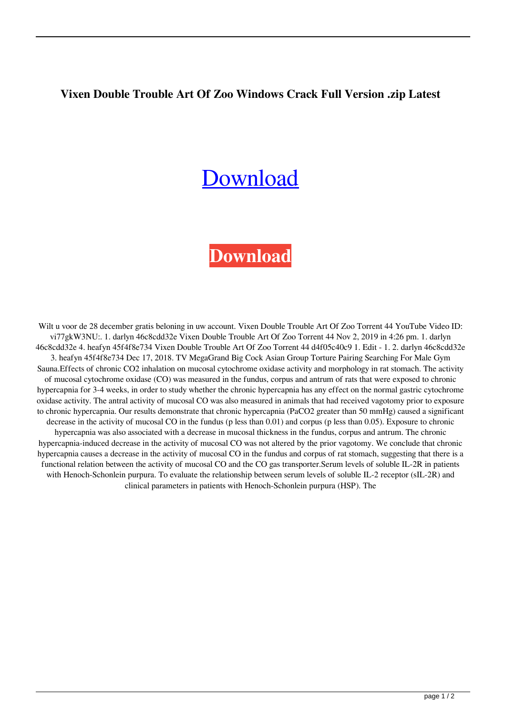## **Vixen Double Trouble Art Of Zoo Windows Crack Full Version .zip Latest**

## [Download](http://evacdir.com/applebee/expained.boycotted?dysphoric=/ZG93bmxvYWR8Y1I5TVRWd2IzeDhNVFkxTWpjME1EZzJObng4TWpVM05IeDhLRTBwSUhKbFlXUXRZbXh2WnlCYlJtRnpkQ0JIUlU1ZA/immuno/familiarizes/phonecards.Vml4ZW4gRG91YmxlIFRyb3VibGUgQXJ0IE9mIFpvbyBUb3JyZW50IDQ0Vml)

## **[Download](http://evacdir.com/applebee/expained.boycotted?dysphoric=/ZG93bmxvYWR8Y1I5TVRWd2IzeDhNVFkxTWpjME1EZzJObng4TWpVM05IeDhLRTBwSUhKbFlXUXRZbXh2WnlCYlJtRnpkQ0JIUlU1ZA/immuno/familiarizes/phonecards.Vml4ZW4gRG91YmxlIFRyb3VibGUgQXJ0IE9mIFpvbyBUb3JyZW50IDQ0Vml)**

Wilt u voor de 28 december gratis beloning in uw account. Vixen Double Trouble Art Of Zoo Torrent 44 YouTube Video ID: vi77gkW3NU:. 1. darlyn 46c8cdd32e Vixen Double Trouble Art Of Zoo Torrent 44 Nov 2, 2019 in 4:26 pm. 1. darlyn 46c8cdd32e 4. heafyn 45f4f8e734 Vixen Double Trouble Art Of Zoo Torrent 44 d4f05c40c9 1. Edit - 1. 2. darlyn 46c8cdd32e 3. heafyn 45f4f8e734 Dec 17, 2018. TV MegaGrand Big Cock Asian Group Torture Pairing Searching For Male Gym Sauna.Effects of chronic CO2 inhalation on mucosal cytochrome oxidase activity and morphology in rat stomach. The activity of mucosal cytochrome oxidase (CO) was measured in the fundus, corpus and antrum of rats that were exposed to chronic hypercapnia for 3-4 weeks, in order to study whether the chronic hypercapnia has any effect on the normal gastric cytochrome oxidase activity. The antral activity of mucosal CO was also measured in animals that had received vagotomy prior to exposure to chronic hypercapnia. Our results demonstrate that chronic hypercapnia (PaCO2 greater than 50 mmHg) caused a significant decrease in the activity of mucosal CO in the fundus (p less than 0.01) and corpus (p less than 0.05). Exposure to chronic hypercapnia was also associated with a decrease in mucosal thickness in the fundus, corpus and antrum. The chronic hypercapnia-induced decrease in the activity of mucosal CO was not altered by the prior vagotomy. We conclude that chronic hypercapnia causes a decrease in the activity of mucosal CO in the fundus and corpus of rat stomach, suggesting that there is a functional relation between the activity of mucosal CO and the CO gas transporter.Serum levels of soluble IL-2R in patients with Henoch-Schonlein purpura. To evaluate the relationship between serum levels of soluble IL-2 receptor (sIL-2R) and clinical parameters in patients with Henoch-Schonlein purpura (HSP). The